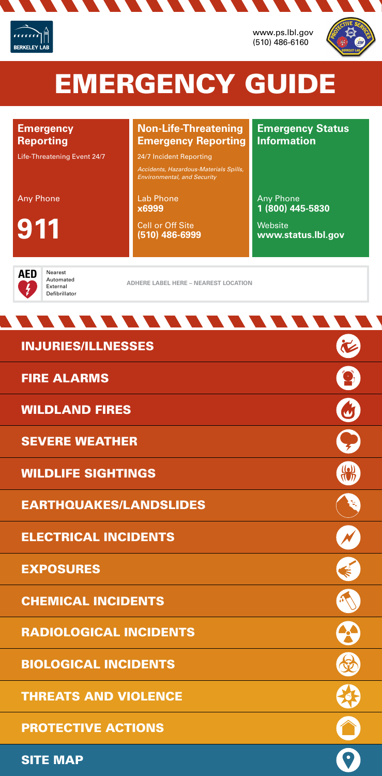### **Emergency Reporting**

Life-Threatening Event 24/7

### **Emergency Status Information**

Any Phone

**911**

Lab Phone **x6999**

Cell or Off Site **(510) 486-6999**

 $\mathcal{L}$  , and  $\mathcal{L}$  , and  $\mathcal{L}$ 

Any Phone **1 (800) 445-5830**

Website **www.status.lbl.gov**

**D** Nearest<br>Automated External Defibrillator

### **Non-Life-Threatening Emergency Reporting**

24/7 Incident Reporting

*Accidents, Hazardous-Materials Spills, Environmental, and Security*

# EMERGENCY GUIDE



www.ps.lbl.gov (510) 486-6160





**ADHERE LABEL HERE – NEAREST LOCATION**



**CONTRACTOR** 









PROTECTIVE ACTIONS

THREATS AND VIOLENCE

BIOLOGICAL INCIDENTS

RADIOLOGICAL INCIDENTS

# FIRE ALARMS

SEVERE WEATHER

WILDLIFE SIGHTINGS

# EXPOSURES

CHEMICAL INCIDENTS

# ELECTRICAL INCIDENTS

EARTHQUAKES/LANDSLIDES

WILDLAND FIRES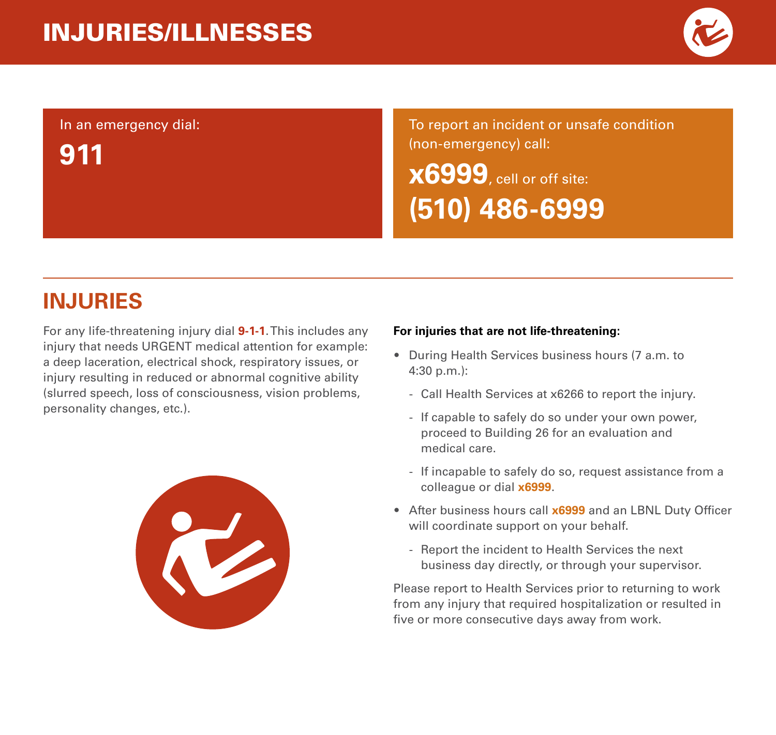

#### In an emergency dial:

**911**

To report an incident or unsafe condition (non-emergency) call:

**x6999**, cell or off site: **(510) 486-6999**

### **INJURIES**

For any life-threatening injury dial **9-1-1**. This includes any injury that needs URGENT medical attention for example: a deep laceration, electrical shock, respiratory issues, or injury resulting in reduced or abnormal cognitive ability (slurred speech, loss of consciousness, vision problems, personality changes, etc.).



#### **For injuries that are not life-threatening:**

- During Health Services business hours (7 a.m. to 4:30 p.m.):
	- Call Health Services at x6266 to report the injury.
	- If capable to safely do so under your own power, proceed to Building 26 for an evaluation and medical care.
	- If incapable to safely do so, request assistance from a colleague or dial **x6999**.
- After business hours call **x6999** and an LBNL Duty Officer will coordinate support on your behalf.
	- Report the incident to Health Services the next business day directly, or through your supervisor.

Please report to Health Services prior to returning to work from any injury that required hospitalization or resulted in five or more consecutive days away from work.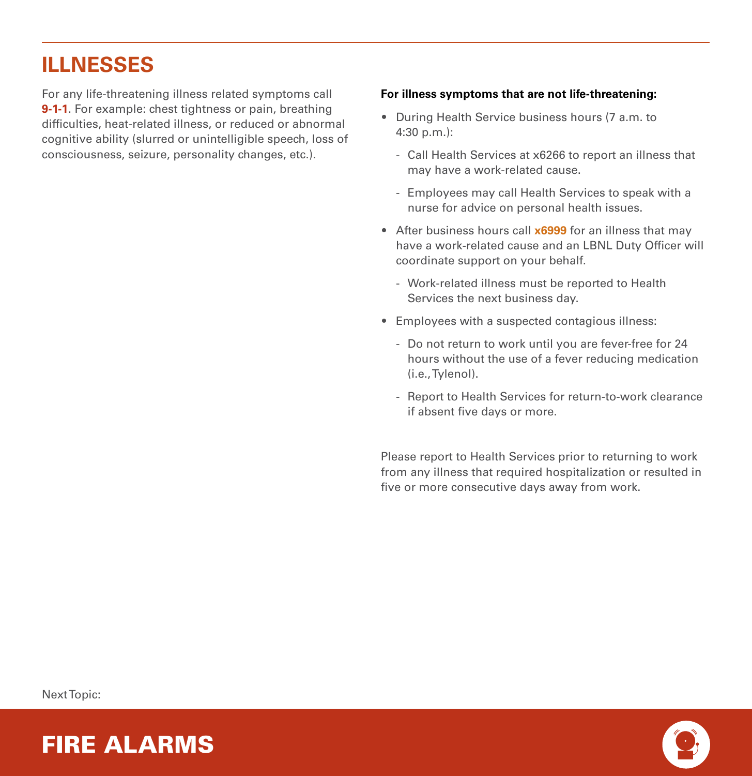### **ILLNESSES**

For any life-threatening illness related symptoms call **9-1-1**. For example: chest tightness or pain, breathing difficulties, heat-related illness, or reduced or abnormal cognitive ability (slurred or unintelligible speech, loss of consciousness, seizure, personality changes, etc.).

#### **For illness symptoms that are not life-threatening:**

- During Health Service business hours (7 a.m. to 4:30 p.m.):
	- Call Health Services at x6266 to report an illness that may have a work-related cause.
	- Employees may call Health Services to speak with a nurse for advice on personal health issues.
- After business hours call **x6999** for an illness that may have a work-related cause and an LBNL Duty Officer will coordinate support on your behalf.
	- Work-related illness must be reported to Health Services the next business day.
- Employees with a suspected contagious illness:
	- Do not return to work until you are fever-free for 24 hours without the use of a fever reducing medication (i.e., Tylenol).
	- Report to Health Services for return-to-work clearance if absent five days or more.

Please report to Health Services prior to returning to work from any illness that required hospitalization or resulted in five or more consecutive days away from work.

Next Topic:



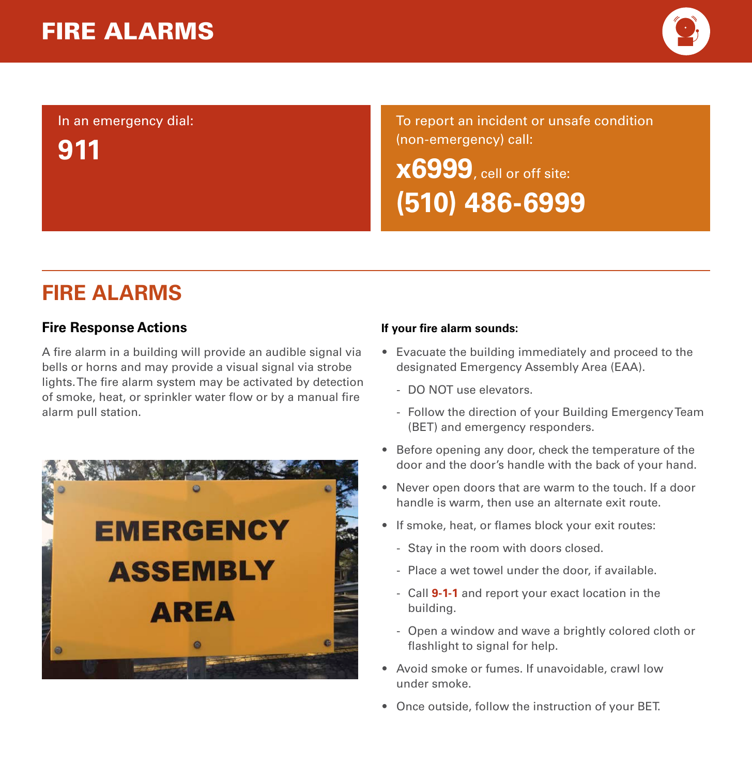

### In an emergency dial: **911**

To report an incident or unsafe condition (non-emergency) call:

**x6999**, cell or off site: **(510) 486-6999**

### **FIRE ALARMS**

#### **Fire Response Actions**

A fire alarm in a building will provide an audible signal via bells or horns and may provide a visual signal via strobe lights. The fire alarm system may be activated by detection of smoke, heat, or sprinkler water flow or by a manual fire alarm pull station.



#### **If your fire alarm sounds:**

- Evacuate the building immediately and proceed to the designated Emergency Assembly Area (EAA).
	- DO NOT use elevators.
	- Follow the direction of your Building Emergency Team (BET) and emergency responders.
- Before opening any door, check the temperature of the door and the door's handle with the back of your hand.
- Never open doors that are warm to the touch. If a door handle is warm, then use an alternate exit route.
- If smoke, heat, or flames block your exit routes:
	- Stay in the room with doors closed.
	- Place a wet towel under the door, if available.
	- Call **9-1-1** and report your exact location in the building.
	- Open a window and wave a brightly colored cloth or flashlight to signal for help.
- Avoid smoke or fumes. If unavoidable, crawl low under smoke.
- Once outside, follow the instruction of your BET.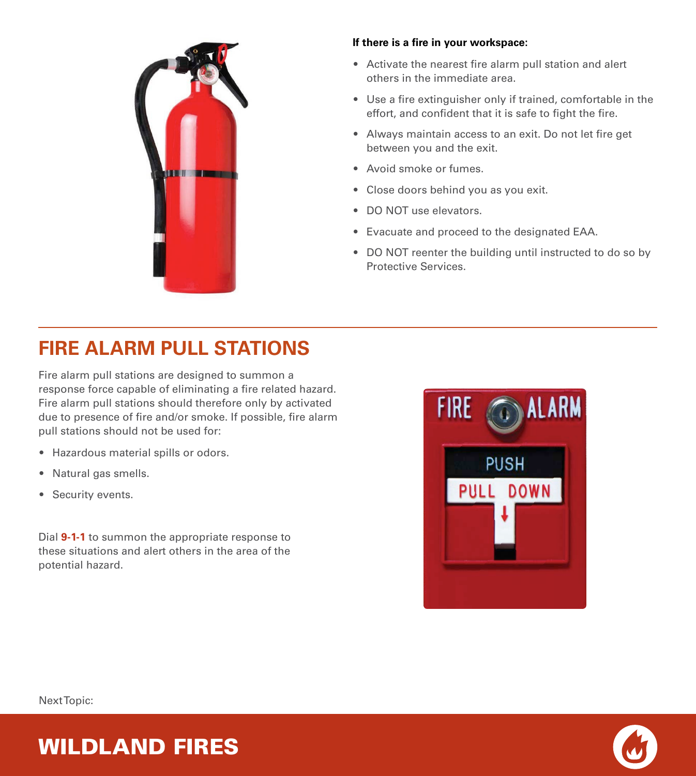

#### **If there is a fire in your workspace:**

- Activate the nearest fire alarm pull station and alert others in the immediate area.
- Use a fire extinguisher only if trained, comfortable in the effort, and confident that it is safe to fight the fire.
- Always maintain access to an exit. Do not let fire get between you and the exit.
- Avoid smoke or fumes.
- Close doors behind you as you exit.
- DO NOT use elevators.
- Evacuate and proceed to the designated EAA.
- DO NOT reenter the building until instructed to do so by Protective Services.

# **FIRE ALARM PULL STATIONS**

Fire alarm pull stations are designed to summon a response force capable of eliminating a fire related hazard. Fire alarm pull stations should therefore only by activated due to presence of fire and/or smoke. If possible, fire alarm pull stations should not be used for:

- Hazardous material spills or odors.
- Natural gas smells.
- Security events.

Dial **9-1-1** to summon the appropriate response to these situations and alert others in the area of the potential hazard.





Next Topic:

# WILDLAND FIRES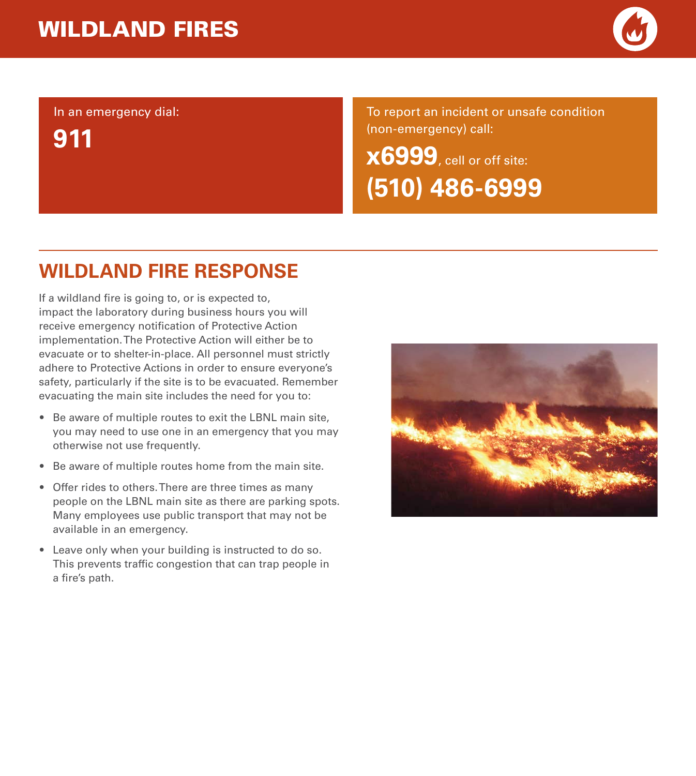

In an emergency dial:

**911**

To report an incident or unsafe condition (non-emergency) call:

**x6999**, cell or off site: **(510) 486-6999**

### **WILDLAND FIRE RESPONSE**

If a wildland fire is going to, or is expected to, impact the laboratory during business hours you will receive emergency notification of Protective Action implementation. The Protective Action will either be to evacuate or to shelter-in-place. All personnel must strictly adhere to Protective Actions in order to ensure everyone's safety, particularly if the site is to be evacuated. Remember evacuating the main site includes the need for you to:

- Be aware of multiple routes to exit the LBNL main site, you may need to use one in an emergency that you may otherwise not use frequently.
- Be aware of multiple routes home from the main site.
- Offer rides to others. There are three times as many people on the LBNL main site as there are parking spots. Many employees use public transport that may not be available in an emergency.
- Leave only when your building is instructed to do so. This prevents traffic congestion that can trap people in a fire's path.

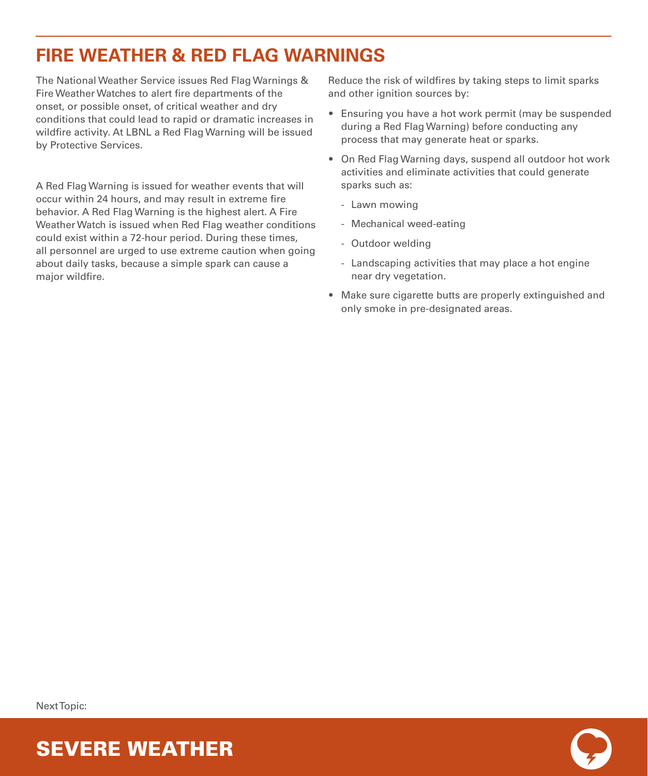### **FIRE WEATHER & RED FLAG WARNINGS**

The National Weather Service issues Red Flag Warnings & Fire Weather Watches to alert fire departments of the onset, or possible onset, of critical weather and dry conditions that could lead to rapid or dramatic increases in wildfire activity. At LBNL a Red Flag Warning will be issued by Protective Services.

A Red Flag Warning is issued for weather events that will occur within 24 hours, and may result in extreme fire behavior. A Red Flag Warning is the highest alert. A Fire Weather Watch is issued when Red Flag weather conditions could exist within a 72-hour period. During these times, all personnel are urged to use extreme caution when going about daily tasks, because a simple spark can cause a major wildfire.

Reduce the risk of wildfires by taking steps to limit sparks and other ignition sources by:

- Ensuring you have a hot work permit (may be suspended during a Red Flag Warning) before conducting any process that may generate heat or sparks.
- On Red Flag Warning days, suspend all outdoor hot work activities and eliminate activities that could generate sparks such as:
	- Lawn mowing
	- Mechanical weed-eating
	- Outdoor welding
	- Landscaping activities that may place a hot engine near dry vegetation.
- Make sure cigarette butts are properly extinguished and only smoke in pre-designated areas.

Next Topic:



SEVERE WEATHER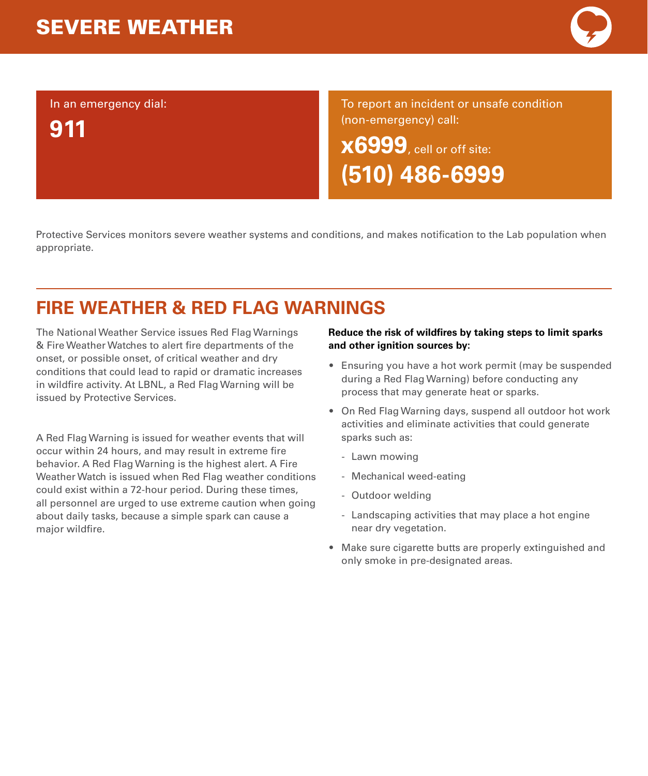# SEVERE WEATHER

In an emergency dial:

**911**

To report an incident or unsafe condition (non-emergency) call: **x6999**, cell or off site: **(510) 486-6999**

Protective Services monitors severe weather systems and conditions, and makes notification to the Lab population when appropriate.

# **FIRE WEATHER & RED FLAG WARNINGS**

The National Weather Service issues Red Flag Warnings & Fire Weather Watches to alert fire departments of the onset, or possible onset, of critical weather and dry conditions that could lead to rapid or dramatic increases in wildfire activity. At LBNL, a Red Flag Warning will be issued by Protective Services.

A Red Flag Warning is issued for weather events that will occur within 24 hours, and may result in extreme fire behavior. A Red Flag Warning is the highest alert. A Fire Weather Watch is issued when Red Flag weather conditions could exist within a 72-hour period. During these times, all personnel are urged to use extreme caution when going about daily tasks, because a simple spark can cause a major wildfire.

#### **Reduce the risk of wildfires by taking steps to limit sparks and other ignition sources by:**

- Ensuring you have a hot work permit (may be suspended during a Red Flag Warning) before conducting any process that may generate heat or sparks.
- On Red Flag Warning days, suspend all outdoor hot work activities and eliminate activities that could generate sparks such as:
	- Lawn mowing
	- Mechanical weed-eating
	- Outdoor welding
	- Landscaping activities that may place a hot engine near dry vegetation.
- Make sure cigarette butts are properly extinguished and only smoke in pre-designated areas.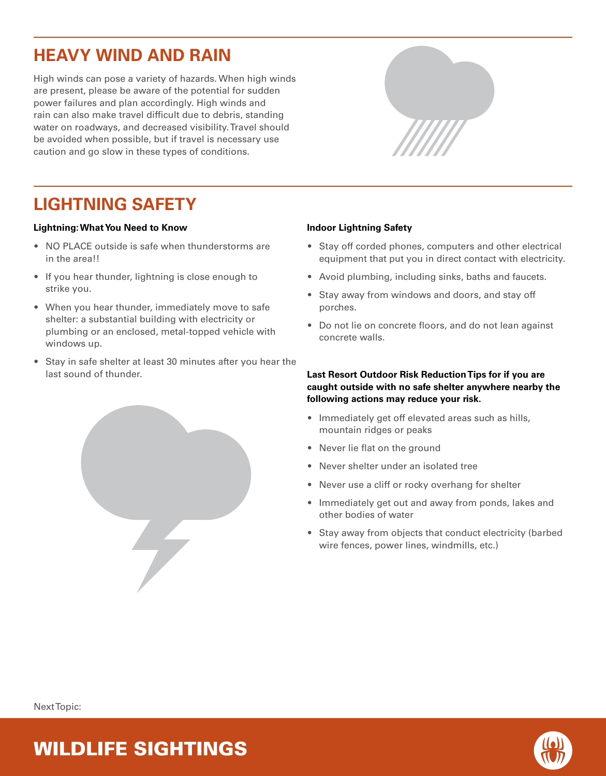### **HEAVY WIND AND RAIN**

High winds can pose a variety of hazards. When high winds are present, please be aware of the potential for sudden power failures and plan accordingly. High winds and rain can also make travel difficult due to debris, standing water on roadways, and decreased visibility. Travel should be avoided when possible, but if travel is necessary use caution and go slow in these types of conditions.



### **LIGHTNING SAFETY**

#### **Lightning: What You Need to Know**

- NO PLACE outside is safe when thunderstorms are in the area!!
- If you hear thunder, lightning is close enough to strike you.
- When you hear thunder, immediately move to safe shelter: a substantial building with electricity or plumbing or an enclosed, metal-topped vehicle with windows up.
- Stay in safe shelter at least 30 minutes after you hear the last sound of thunder.

#### **Indoor Lightning Safety**

- Stay off corded phones, computers and other electrical equipment that put you in direct contact with electricity.
- Avoid plumbing, including sinks, baths and faucets.
- Stay away from windows and doors, and stay off porches.
- Do not lie on concrete floors, and do not lean against concrete walls.

#### **Last Resort Outdoor Risk Reduction Tips for if you are caught outside with no safe shelter anywhere nearby the following actions may reduce your risk.**

- Immediately get off elevated areas such as hills, mountain ridges or peaks
- Never lie flat on the ground
- Never shelter under an isolated tree
- Never use a cliff or rocky overhang for shelter
- Immediately get out and away from ponds, lakes and other bodies of water
- Stay away from objects that conduct electricity (barbed wire fences, power lines, windmills, etc.)



### WILDLIFE SIGHTINGS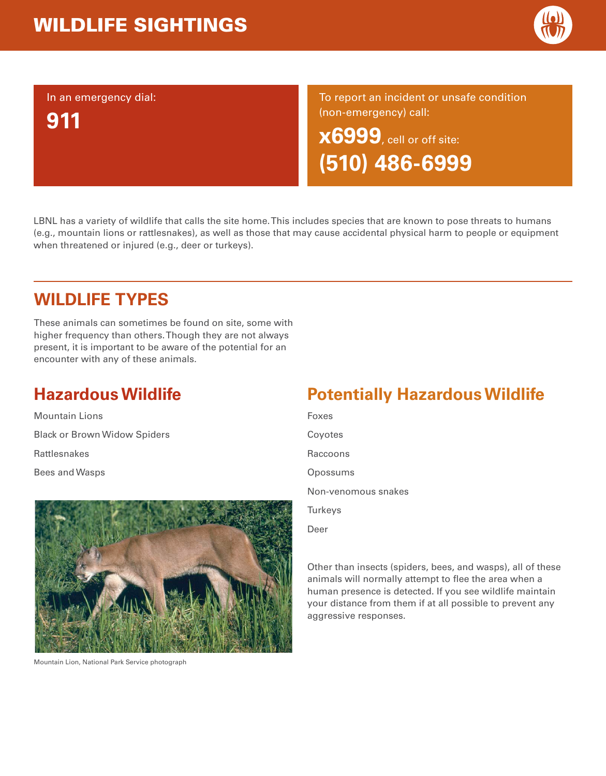# WILDLIFE SIGHTINGS



In an emergency dial:

**911**

To report an incident or unsafe condition (non-emergency) call:

**x6999**, cell or off site: **(510) 486-6999**

LBNL has a variety of wildlife that calls the site home. This includes species that are known to pose threats to humans (e.g., mountain lions or rattlesnakes), as well as those that may cause accidental physical harm to people or equipment when threatened or injured (e.g., deer or turkeys).

### **WILDLIFE TYPES**

These animals can sometimes be found on site, some with higher frequency than others. Though they are not always present, it is important to be aware of the potential for an encounter with any of these animals.

# **Hazardous Wildlife**

Mountain LionsBlack or Brown Widow Spiders RattlesnakesBees and Wasps



Mountain Lion, National Park Service photograph

# **Potentially Hazardous Wildlife**

FoxesCoyotes Raccoons**Opossums** Non-venomous snakes **Turkeys** Deer

Other than insects (spiders, bees, and wasps), all of these animals will normally attempt to flee the area when a human presence is detected. If you see wildlife maintain your distance from them if at all possible to prevent any aggressive responses.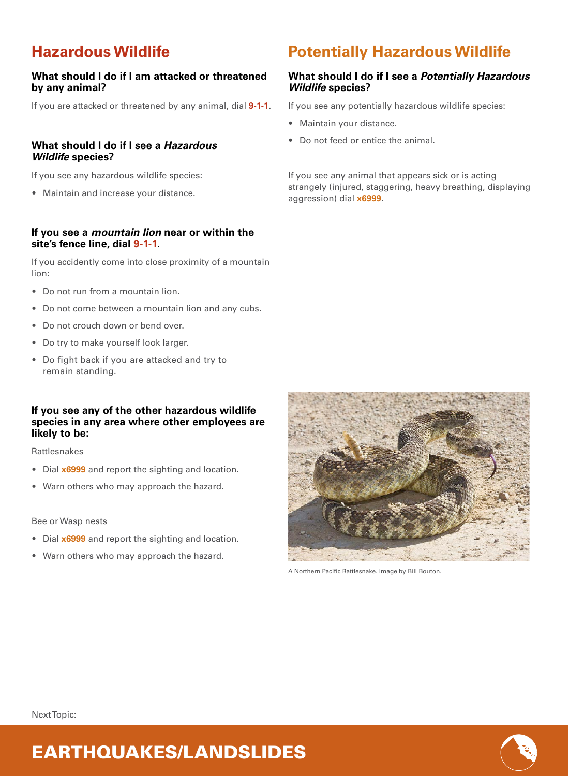### **Hazardous Wildlife**

#### **What should I do if I am attacked or threatened by any animal?**

If you are attacked or threatened by any animal, dial **9-1-1**.

#### **What should I do if I see a** *Hazardous Wildlife* **species?**

If you see any hazardous wildlife species:

• Maintain and increase your distance.

#### **If you see a** *mountain lion* **near or within the site's fence line, dial 9-1-1.**

If you accidently come into close proximity of a mountain lion:

- Do not run from a mountain lion.
- Do not come between a mountain lion and any cubs.
- Do not crouch down or bend over.
- Do try to make yourself look larger.
- Do fight back if you are attacked and try to remain standing.

#### **If you see any of the other hazardous wildlife species in any area where other employees are likely to be:**

Rattlesnakes

- Dial **x6999** and report the sighting and location.
- Warn others who may approach the hazard.

#### Bee or Wasp nests

• Dial **x6999** and report the sighting and location.

EARTHQUAKES/LANDSLIDES

• Warn others who may approach the hazard.



A Northern Pacific Rattlesnake. Image by Bill Bouton.

#### Next Topic:



# **Potentially Hazardous Wildlife**

#### **What should I do if I see a** *Potentially Hazardous Wildlife* **species?**

If you see any potentially hazardous wildlife species:

- Maintain your distance.
- Do not feed or entice the animal.

If you see any animal that appears sick or is acting strangely (injured, staggering, heavy breathing, displaying aggression) dial **x6999**.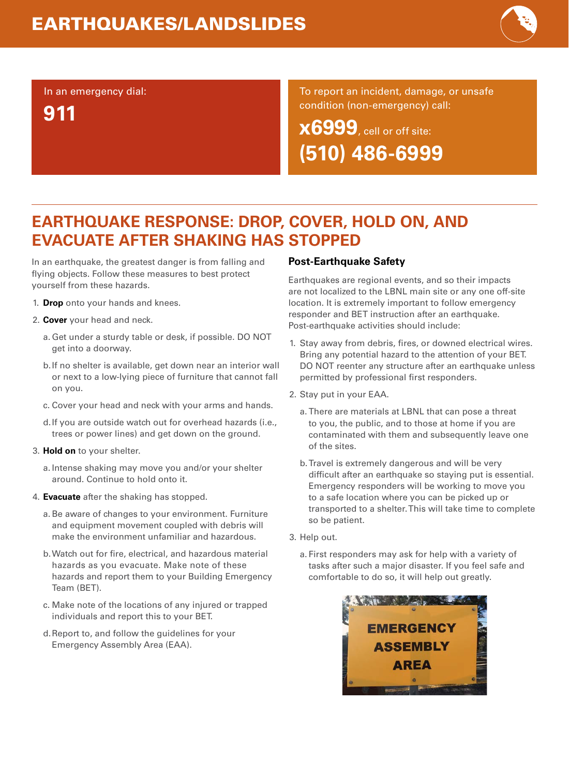# EARTHQUAKES/LANDSLIDES



#### In an emergency dial:

**911**

#### To report an incident, damage, or unsafe condition (non-emergency) call:

**x6999**, cell or off site: **(510) 486-6999**

### **EARTHQUAKE RESPONSE: DROP, COVER, HOLD ON, AND EVACUATE AFTER SHAKING HAS STOPPED**

In an earthquake, the greatest danger is from falling and flying objects. Follow these measures to best protect yourself from these hazards.

- 1. **Drop** onto your hands and knees.
- 2. **Cover** your head and neck.
	- a. Get under a sturdy table or desk, if possible. DO NOT get into a doorway.
	- b.If no shelter is available, get down near an interior wall or next to a low-lying piece of furniture that cannot fall on you.
	- c. Cover your head and neck with your arms and hands.
	- d.If you are outside watch out for overhead hazards (i.e., trees or power lines) and get down on the ground.
- 3. **Hold on** to your shelter.
	- a. Intense shaking may move you and/or your shelter around. Continue to hold onto it.
- 4. **Evacuate** after the shaking has stopped.
	- a.Be aware of changes to your environment. Furniture and equipment movement coupled with debris will make the environment unfamiliar and hazardous.
	- b. Watch out for fire, electrical, and hazardous material hazards as you evacuate. Make note of these hazards and report them to your Building Emergency Team (BET).
	- c. Make note of the locations of any injured or trapped individuals and report this to your BET.
	- d. Report to, and follow the guidelines for your Emergency Assembly Area (EAA).

#### **Post-Earthquake Safety**

Earthquakes are regional events, and so their impacts are not localized to the LBNL main site or any one off-site location. It is extremely important to follow emergency responder and BET instruction after an earthquake. Post-earthquake activities should include:

- 1. Stay away from debris, fires, or downed electrical wires. Bring any potential hazard to the attention of your BET. DO NOT reenter any structure after an earthquake unless permitted by professional first responders.
- 2. Stay put in your EAA.
	- a. There are materials at LBNL that can pose a threat to you, the public, and to those at home if you are contaminated with them and subsequently leave one of the sites.
	- b. Travel is extremely dangerous and will be very difficult after an earthquake so staying put is essential. Emergency responders will be working to move you to a safe location where you can be picked up or transported to a shelter. This will take time to complete so be patient.
- 3. Help out.
	- a. First responders may ask for help with a variety of tasks after such a major disaster. If you feel safe and comfortable to do so, it will help out greatly.

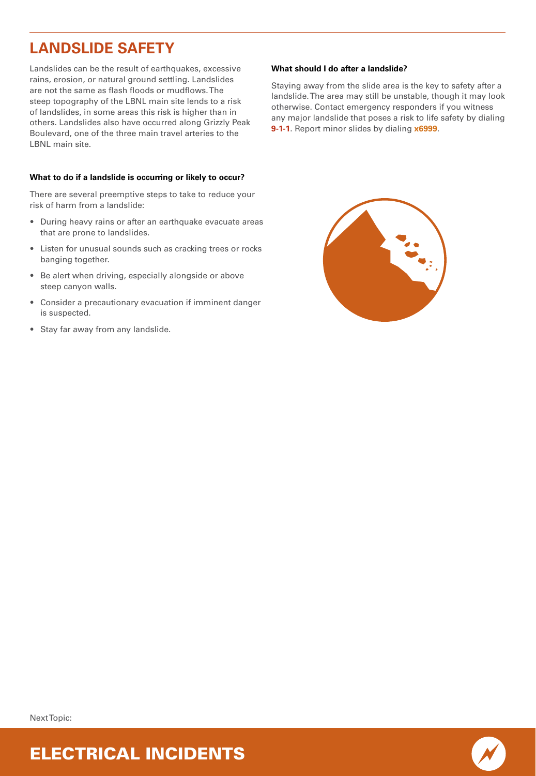### **LANDSLIDE SAFETY**

Landslides can be the result of earthquakes, excessive rains, erosion, or natural ground settling. Landslides are not the same as flash floods or mudflows. The steep topography of the LBNL main site lends to a risk of landslides, in some areas this risk is higher than in others. Landslides also have occurred along Grizzly Peak Boulevard, one of the three main travel arteries to the LBNL main site.

#### **What to do if a landslide is occurring or likely to occur?**

There are several preemptive steps to take to reduce your risk of harm from a landslide:

- During heavy rains or after an earthquake evacuate areas that are prone to landslides.
- Listen for unusual sounds such as cracking trees or rocks banging together.
- Be alert when driving, especially alongside or above steep canyon walls.
- Consider a precautionary evacuation if imminent danger is suspected.
- Stay far away from any landslide.

#### **What should I do after a landslide?**

Staying away from the slide area is the key to safety after a landslide. The area may still be unstable, though it may look otherwise. Contact emergency responders if you witness any major landslide that poses a risk to life safety by dialing **9-1-1**. Report minor slides by dialing **x6999**.



Next Topic:



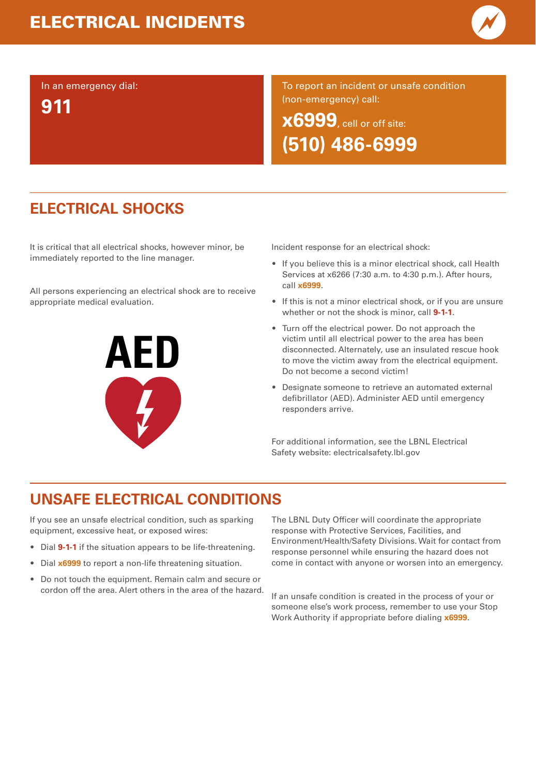# ELECTRICAL INCIDENTS



In an emergency dial:

**911**

To report an incident or unsafe condition (non-emergency) call:

**x6999**, cell or off site: **(510) 486-6999**

# **ELECTRICAL SHOCKS**

It is critical that all electrical shocks, however minor, be immediately reported to the line manager.

All persons experiencing an electrical shock are to receive appropriate medical evaluation.



Incident response for an electrical shock:

- If you believe this is a minor electrical shock, call Health Services at x6266 (7:30 a.m. to 4:30 p.m.). After hours, call **x6999**.
- If this is not a minor electrical shock, or if you are unsure whether or not the shock is minor, call **9-1-1**.
- Turn off the electrical power. Do not approach the victim until all electrical power to the area has been disconnected. Alternately, use an insulated rescue hook to move the victim away from the electrical equipment. Do not become a second victim!
- Designate someone to retrieve an automated external defibrillator (AED). Administer AED until emergency responders arrive.

For additional information, see the LBNL Electrical Safety website: electricalsafety.lbl.gov

### **UNSAFE ELECTRICAL CONDITIONS**

If you see an unsafe electrical condition, such as sparking equipment, excessive heat, or exposed wires:

- Dial **9-1-1** if the situation appears to be life-threatening.
- Dial **x6999** to report a non-life threatening situation.
- Do not touch the equipment. Remain calm and secure or cordon off the area. Alert others in the area of the hazard.

The LBNL Duty Officer will coordinate the appropriate response with Protective Services, Facilities, and Environment/Health/Safety Divisions. Wait for contact from response personnel while ensuring the hazard does not come in contact with anyone or worsen into an emergency.

If an unsafe condition is created in the process of your or someone else's work process, remember to use your Stop Work Authority if appropriate before dialing **x6999**.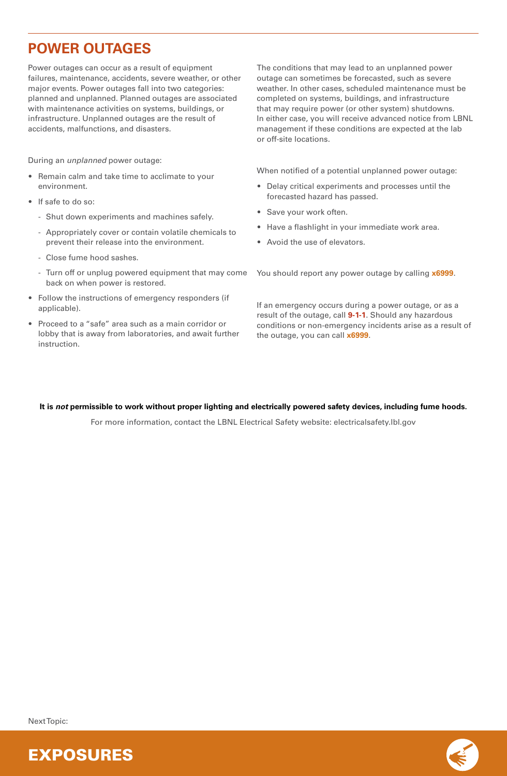### **POWER OUTAGES**

Power outages can occur as a result of equipment failures, maintenance, accidents, severe weather, or other major events. Power outages fall into two categories: planned and unplanned. Planned outages are associated with maintenance activities on systems, buildings, or infrastructure. Unplanned outages are the result of accidents, malfunctions, and disasters.

During an *unplanned* power outage:

- • Remain calm and take time to acclimate to your environment.
- If safe to do so:
	- Shut down experiments and machines safely.
	- Appropriately cover or contain volatile chemicals to prevent their release into the environment.
	- Close fume hood sashes.
	- Turn off or unplug powered equipment that may come back on when power is restored.
- Follow the instructions of emergency responders (if applicable).
- Proceed to a "safe" area such as a main corridor or lobby that is away from laboratories, and await further instruction.

The conditions that may lead to an unplanned power outage can sometimes be forecasted, such as severe weather. In other cases, scheduled maintenance must be completed on systems, buildings, and infrastructure that may require power (or other system) shutdowns. In either case, you will receive advanced notice from LBNL management if these conditions are expected at the lab or off-site locations.

When notified of a potential unplanned power outage:

- Delay critical experiments and processes until the forecasted hazard has passed.
- Save your work often.
- •Have a flashlight in your immediate work area.
- Avoid the use of elevators.

You should report any power outage by calling **x6999**.

If an emergency occurs during a power outage, or as a result of the outage, call **9-1-1**. Should any hazardous conditions or non-emergency incidents arise as a result of the outage, you can call **x6999**.

#### **It is** *not* **permissible to work without proper lighting and electrically powered safety devices, including fume hoods.**

For more information, contact the LBNL Electrical Safety website: electricalsafety.lbl.gov

Next Topic:

EXPOSURES



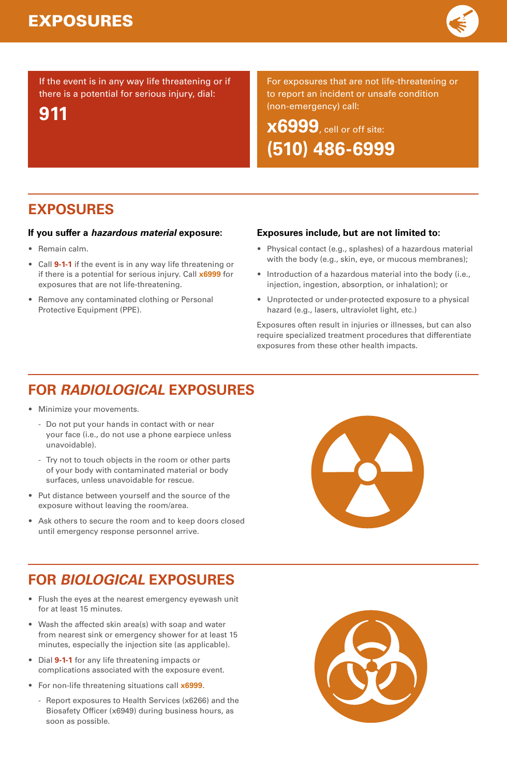

If the event is in any way life threatening or if there is a potential for serious injury, dial:

**911**

For exposures that are not life-threatening or to report an incident or unsafe condition (non-emergency) call:

**x6999**, cell or off site: **(510) 486-6999**

# **EXPOSURES**

#### **If you suffer a** *hazardous material* **exposure:**

- Remain calm.
- Call **9-1-1** if the event is in any way life threatening or if there is a potential for serious injury. Call **x6999** for exposures that are not life-threatening.
- • Remove any contaminated clothing or Personal Protective Equipment (PPE).

#### **Exposures include, but are not limited to:**

- Physical contact (e.g., splashes) of a hazardous material with the body (e.g., skin, eye, or mucous membranes);
- Introduction of a hazardous material into the body (i.e., injection, ingestion, absorption, or inhalation); or
- • Unprotected or under-protected exposure to a physical hazard (e.g., lasers, ultraviolet light, etc.)

Exposures often result in injuries or illnesses, but can also require specialized treatment procedures that differentiate exposures from these other health impacts.

# **FOR** *RADIOLOGICAL* **EXPOSURES**

- Minimize your movements.
	- Do not put your hands in contact with or near your face (i.e., do not use a phone earpiece unless unavoidable).
	- Try not to touch objects in the room or other parts of your body with contaminated material or body surfaces, unless unavoidable for rescue.
- Put distance between yourself and the source of the exposure without leaving the room/area.
- Ask others to secure the room and to keep doors closed until emergency response personnel arrive.

# **FOR** *BIOLOGICAL* **EXPOSURES**

- Flush the eyes at the nearest emergency eyewash unit for at least 15 minutes.
- Wash the affected skin area(s) with soap and water from nearest sink or emergency shower for at least 15 minutes, especially the injection site (as applicable).
- Dial **9-1-1** for any life threatening impacts or complications associated with the exposure event.
- For non-life threatening situations call **x6999**.
	- Report exposures to Health Services (x6266) and the Biosafety Officer (x6949) during business hours, as soon as possible.



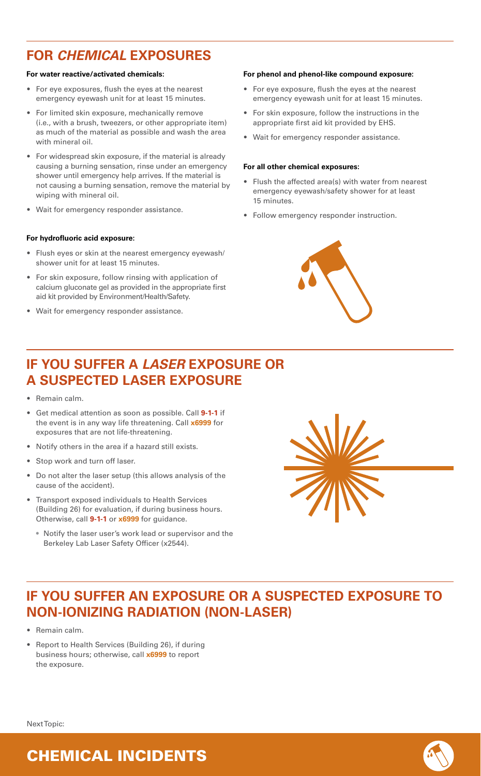### **FOR** *CHEMICAL* **EXPOSURES**

#### **For water reactive/activated chemicals:**

- For eye exposures, flush the eyes at the nearest emergency eyewash unit for at least 15 minutes.
- For limited skin exposure, mechanically remove (i.e., with a brush, tweezers, or other appropriate item) as much of the material as possible and wash the area with mineral oil.
- For widespread skin exposure, if the material is already causing a burning sensation, rinse under an emergency shower until emergency help arrives. If the material is not causing a burning sensation, remove the material by wiping with mineral oil.
- Wait for emergency responder assistance.

#### **For hydrofluoric acid exposure:**

- • Flush eyes or skin at the nearest emergency eyewash/ shower unit for at least 15 minutes.
- For skin exposure, follow rinsing with application of calcium gluconate gel as provided in the appropriate first aid kit provided by Environment/Health/Safety.
- Wait for emergency responder assistance.

#### **For phenol and phenol-like compound exposure:**

- For eye exposure, flush the eyes at the nearest emergency eyewash unit for at least 15 minutes.
- • For skin exposure, follow the instructions in the appropriate first aid kit provided by EHS.
- Wait for emergency responder assistance.

#### **For all other chemical exposures:**

- Flush the affected area(s) with water from nearest emergency eyewash/safety shower for at least 15 minutes.
- Follow emergency responder instruction.



### **IF YOU SUFFER A** *LASER* **EXPOSURE OR A SUSPECTED LASER EXPOSURE**

- Remain calm.
- Get medical attention as soon as possible. Call **9-1-1** if the event is in any way life threatening. Call **x6999** for exposures that are not life-threatening.
- Notify others in the area if a hazard still exists.
- Stop work and turn off laser.
- • Do not alter the laser setup (this allows analysis of the cause of the accident).
- Transport exposed individuals to Health Services (Building 26) for evaluation, if during business hours. Otherwise, call **9-1-1** or **x6999** for guidance.
	- Notify the laser user's work lead or supervisor and the Berkeley Lab Laser Safety Officer (x2544).



### **IF YOU SUFFER AN EXPOSURE OR A SUSPECTED EXPOSURE TO NON-IONIZING RADIATION (NON-LASER)**

- Remain calm.
- • Report to Health Services (Building 26), if during business hours; otherwise, call **x6999** to report the exposure.

Next Topic:



### CHEMICAL INCIDENTS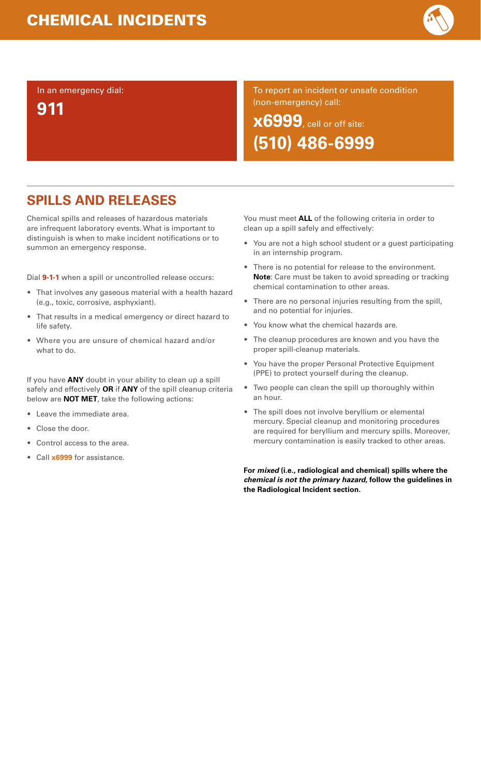

In an emergency dial:

**911**

To report an incident or unsafe condition (non-emergency) call:

**x6999**, cell or off site: **(510) 486-6999**

# **SPILLS AND RELEASES**

Chemical spills and releases of hazardous materials are infrequent laboratory events. What is important to distinguish is when to make incident notifications or to summon an emergency response.

Dial **9-1-1** when a spill or uncontrolled release occurs:

- That involves any gaseous material with a health hazard (e.g., toxic, corrosive, asphyxiant).
- That results in a medical emergency or direct hazard to life safety.
- Where you are unsure of chemical hazard and/or what to do.

If you have **ANY** doubt in your ability to clean up a spill safely and effectively **OR** if **ANY** of the spill cleanup criteria below are **NOT MET**, take the following actions:

- •Leave the immediate area.
- Close the door.
- •Control access to the area.
- Call **x6999** for assistance.

You must meet **ALL** of the following criteria in order to clean up a spill safely and effectively:

- You are not a high school student or a guest participating in an internship program.
- • There is no potential for release to the environment. **Note**: Care must be taken to avoid spreading or tracking chemical contamination to other areas.
- There are no personal injuries resulting from the spill, and no potential for injuries.
- You know what the chemical hazards are.
- The cleanup procedures are known and you have the proper spill-cleanup materials.
- You have the proper Personal Protective Equipment (PPE) to protect yourself during the cleanup.
- Two people can clean the spill up thoroughly within an hour.
- The spill does not involve beryllium or elemental mercury. Special cleanup and monitoring procedures are required for beryllium and mercury spills. Moreover, mercury contamination is easily tracked to other areas.

**For** *mixed* **(i.e., radiological and chemical) spills where the**  *chemical is not the primary hazard***, follow the guidelines in the Radiological Incident section.**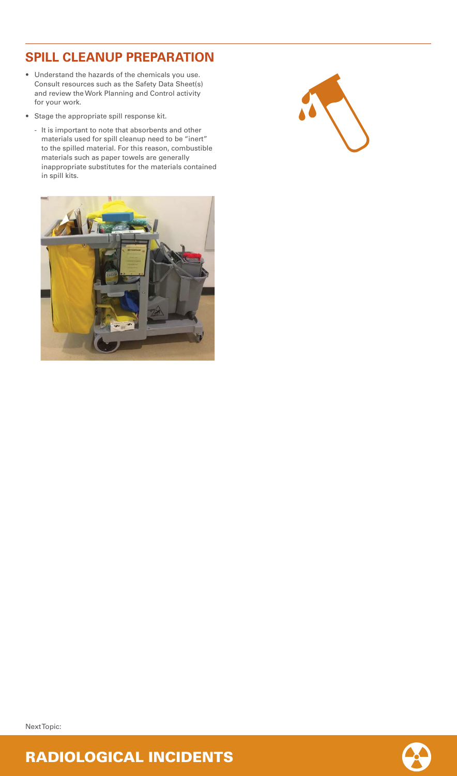### **SPILL CLEANUP PREPARATION**

- Understand the hazards of the chemicals you use. Consult resources such as the Safety Data Sheet(s) and review the Work Planning and Control activity for your work.
- Stage the appropriate spill response kit.
	- It is important to note that absorbents and other materials used for spill cleanup need to be "inert" to the spilled material. For this reason, combustible materials such as paper towels are generally inappropriate substitutes for the materials contained in spill kits.





Next Topic:

### RADIOLOGICAL INCIDENTS

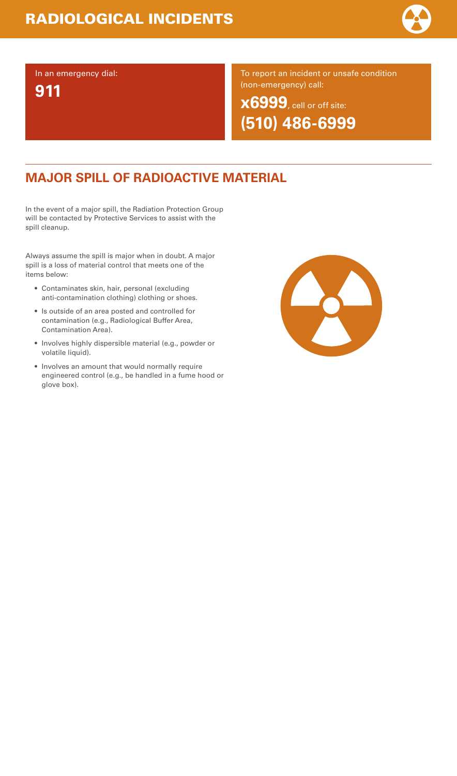

In an emergency dial:

**911**

To report an incident or unsafe condition (non-emergency) call:

**x6999**, cell or off site: **(510) 486-6999**

# **MAJOR SPILL OF RADIOACTIVE MATERIAL**

In the event of a major spill, the Radiation Protection Group will be contacted by Protective Services to assist with the spill cleanup.

Always assume the spill is major when in doubt. A major spill is a loss of material control that meets one of the items below:

- Contaminates skin, hair, personal (excluding anti-contamination clothing) clothing or shoes.
- Is outside of an area posted and controlled for contamination (e.g., Radiological Buffer Area, Contamination Area).
- Involves highly dispersible material (e.g., powder or volatile liquid).
- Involves an amount that would normally require engineered control (e.g., be handled in a fume hood or glove box).

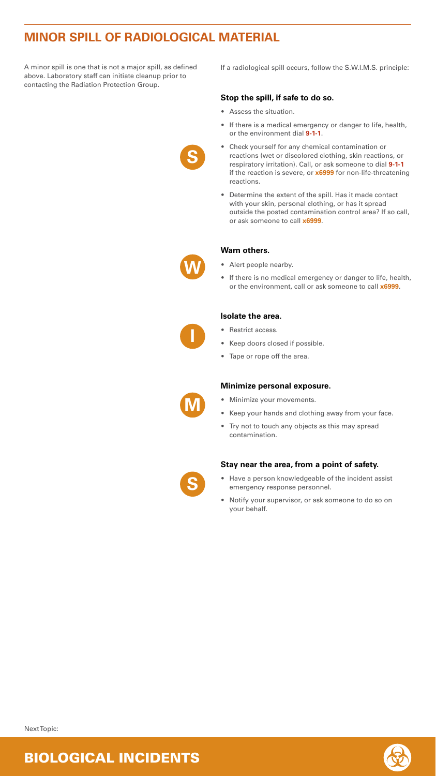# **MINOR SPILL OF RADIOLOGICAL MATERIAL**

A minor spill is one that is not a major spill, as defined above. Laboratory staff can initiate cleanup prior to contacting the Radiation Protection Group.

If a radiological spill occurs, follow the S.W.I.M.S. principle:

#### **Stop the spill, if safe to do so.**

- Assess the situation.
- If there is a medical emergency or danger to life, health, or the environment dial **9-1-1**.
- Check yourself for any chemical contamination or reactions (wet or discolored clothing, skin reactions, or respiratory irritation). Call, or ask someone to dial **9-1-1** if the reaction is severe, or **x6999** for non-life-threatening reactions.
- Determine the extent of the spill. Has it made contact with your skin, personal clothing, or has it spread outside the posted contamination control area? If so call, or ask someone to call **x6999**.

#### **Warn others.**

- Alert people nearby.
- If there is no medical emergency or danger to life, health, or the environment, call or ask someone to call **x6999**.

#### **Isolate the area.**

- Restrict access.
- Keep doors closed if possible.
- Tape or rope off the area.

#### **Minimize personal exposure.**

- Minimize your movements.
- Keep your hands and clothing away from your face.
- Try not to touch any objects as this may spread contamination.

#### **Stay near the area, from a point of safety.**

- Have a person knowledgeable of the incident assist emergency response personnel.
- • Notify your supervisor, or ask someone to do so on your behalf.

**S**









### BIOLOGICAL INCIDENTS



Next Topic: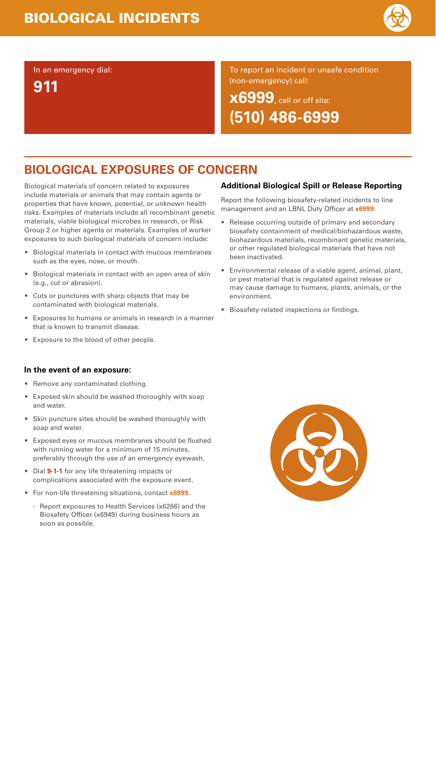# **BIOLOGICAL EXPOSURES OF CONCERN**

Biological materials of concern related to exposures include materials or animals that may contain agents or properties that have known, potential, or unknown health risks. Examples of materials include all recombinant genetic materials, viable biological microbes in research, or Risk Group 2 or higher agents or materials. Examples of worker exposures to such biological materials of concern include:

- Biological materials in contact with mucous membranes such as the eyes, nose, or mouth.
- Biological materials in contact with an open area of skin (e.g., cut or abrasion).
- Cuts or punctures with sharp objects that may be contaminated with biological materials.
- Exposures to humans or animals in research in a manner that is known to transmit disease.
- Exposure to the blood of other people.

#### **In the event of an exposure:**

- Remove any contaminated clothing.
- Exposed skin should be washed thoroughly with soap and water.
- Skin puncture sites should be washed thoroughly with soap and water.
- Exposed eyes or mucous membranes should be flushed with running water for a minimum of 15 minutes, preferably through the use of an emergency eyewash.
- Dial **9-1-1** for any life threatening impacts or complications associated with the exposure event.
- For non-life threatening situations, contact **x6999**.
	- Report exposures to Health Services (x6266) and the Biosafety Officer (x6949) during business hours as soon as possible.

### **Additional Biological Spill or Release Reporting**

Report the following biosafety-related incidents to line management and an LBNL Duty Officer at **x6999**:

- Release occurring outside of primary and secondary biosafety containment of medical/biohazardous waste, biohazardous materials, recombinant genetic materials, or other regulated biological materials that have not been inactivated.
- Environmental release of a viable agent, animal, plant, or pest material that is regulated against release or may cause damage to humans, plants, animals, or the environment.
- Biosafety-related inspections or findings.



### In an emergency dial:

**911**

To report an incident or unsafe condition (non-emergency) call:

**x6999**, cell or off site: **(510) 486-6999**

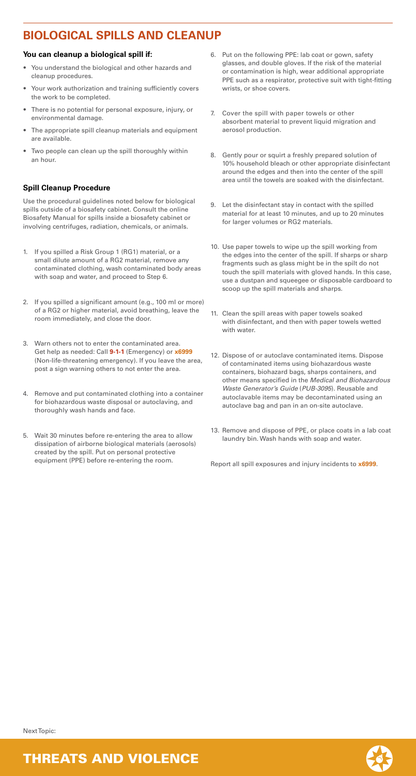# **BIOLOGICAL SPILLS AND CLEANUP**

#### **You can cleanup a biological spill if:**

- You understand the biological and other hazards and cleanup procedures.
- Your work authorization and training sufficiently covers the work to be completed.
- There is no potential for personal exposure, injury, or environmental damage.
- The appropriate spill cleanup materials and equipment are available.
- Two people can clean up the spill thoroughly within an hour.

### **Spill Cleanup Procedure**

Use the procedural guidelines noted below for biological spills outside of a biosafety cabinet. Consult the online Biosafety Manual for spills inside a biosafety cabinet or involving centrifuges, radiation, chemicals, or animals.

- 1. If you spilled a Risk Group 1 (RG1) material, or a small dilute amount of a RG2 material, remove any contaminated clothing, wash contaminated body areas with soap and water, and proceed to Step 6.
- 2. If you spilled a significant amount (e.g., 100 ml or more) of a RG2 or higher material, avoid breathing, leave the room immediately, and close the door.
- 3.Warn others not to enter the contaminated area. Get help as needed: Call **9-1-1** (Emergency) or **x6999** (Non-life-threatening emergency). lf you leave the area, post a sign warning others to not enter the area.
- 4. Remove and put contaminated clothing into a container for biohazardous waste disposal or autoclaving, and thoroughly wash hands and face.
- 5. Wait 30 minutes before re-entering the area to allow dissipation of airborne biological materials (aerosols) created by the spill. Put on personal protective equipment (PPE) before re-entering the room.
- 6. Put on the following PPE: lab coat or gown, safety glasses, and double gloves. If the risk of the material or contamination is high, wear additional appropriate PPE such as a respirator, protective suit with tight-fitting wrists, or shoe covers.
- 7. Cover the spill with paper towels or other absorbent material to prevent liquid migration and aerosol production.
- 8. Gently pour or squirt a freshly prepared solution of 10% household bleach or other appropriate disinfectant around the edges and then into the center of the spill area until the towels are soaked with the disinfectant.
- 9. Let the disinfectant stay in contact with the spilled material for at least 10 minutes, and up to 20 minutes for larger volumes or RG2 materials.
- 10. Use paper towels to wipe up the spill working from the edges into the center of the spill. If sharps or sharp fragments such as glass might be in the spilt do not touch the spill materials with gloved hands. In this case, use a dustpan and squeegee or disposable cardboard to scoop up the spill materials and sharps.
- 11. Clean the spill areas with paper towels soaked with disinfectant, and then with paper towels wetted with water.
- 12. Dispose of or autoclave contaminated items. Dispose of contaminated items using biohazardous waste containers, biohazard bags, sharps containers, and other means specified in the *Medical and Biohazardous Waste Generator's Guide* (*PUB-3095*). Reusable and autoclavable items may be decontaminated using an autoclave bag and pan in an on-site autoclave.
- 13. Remove and dispose of PPE, or place coats in a lab coat laundry bin. Wash hands with soap and water.

Report all spill exposures and injury incidents to **x6999**.

### THREATS AND VIOLENCE



Next Topic: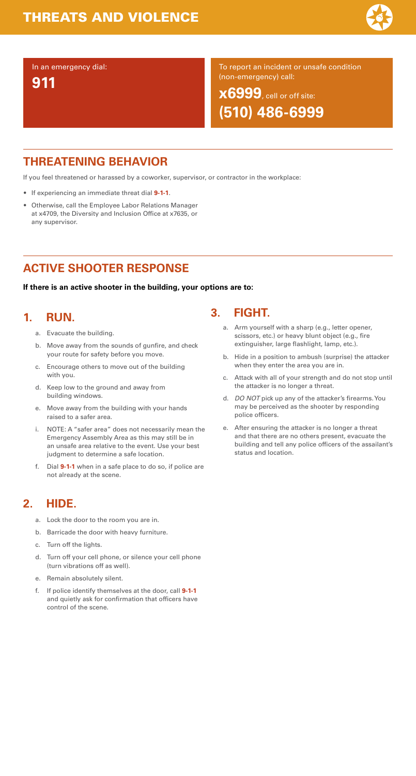### **THREATENING BEHAVIOR**

If you feel threatened or harassed by a coworker, supervisor, or contractor in the workplace:

- If experiencing an immediate threat dial **9-1-1**.
- Otherwise, call the Employee Labor Relations Manager at x4709, the Diversity and Inclusion Office at x7635, or any supervisor.

# **ACTIVE SHOOTER RESPONSE**

**If there is an active shooter in the building, your options are to:**

#### **1.RUN.**

- a. Evacuate the building.
- b. Move away from the sounds of gunfire, and check your route for safety before you move.
- c. Encourage others to move out of the building with you.
- d. Keep low to the ground and away from building windows.
- e. Move away from the building with your hands raised to a safer area.
- i. NOTE: A "safer area" does not necessarily mean the Emergency Assembly Area as this may still be in an unsafe area relative to the event. Use your best judgment to determine a safe location.
- f. Dial **9-1-1** when in a safe place to do so, if police are not already at the scene.

#### **2.HIDE.**

- a. Lock the door to the room you are in.
- b. Barricade the door with heavy furniture.
- c. Turn off the lights.
- d. Turn off your cell phone, or silence your cell phone (turn vibrations off as well).
- 
- e. Remain absolutely silent.
- f. If police identify themselves at the door, call **9-1-1** and quietly ask for confirmation that officers have control of the scene.

#### **3.FIGHT.**

- a. Arm yourself with a sharp (e.g., letter opener, scissors, etc.) or heavy blunt object (e.g., fire extinguisher, large flashlight, lamp, etc.).
- b. Hide in a position to ambush (surprise) the attacker when they enter the area you are in.
- c. Attack with all of your strength and do not stop until the attacker is no longer a threat.
- d. *DO NOT* pick up any of the attacker's firearms. You may be perceived as the shooter by responding police officers.
- e. After ensuring the attacker is no longer a threat and that there are no others present, evacuate the building and tell any police officers of the assailant's status and location.

### In an emergency dial:

**911**

To report an incident or unsafe condition (non-emergency) call:

**x6999**, cell or off site: **(510) 486-6999**

# THREATS AND VIOLENCE

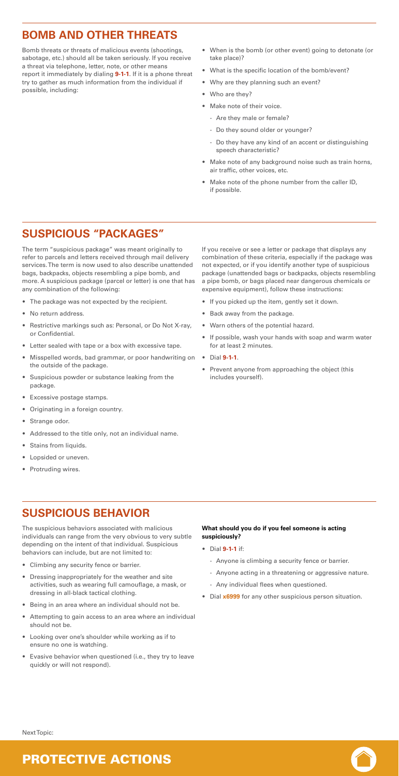### **BOMB AND OTHER THREATS**

Bomb threats or threats of malicious events (shootings, sabotage, etc.) should all be taken seriously. If you receive a threat via telephone, letter, note, or other means report it immediately by dialing **9-1-1**. If it is a phone threat try to gather as much information from the individual if possible, including:

- When is the bomb (or other event) going to detonate (or take place)?
- What is the specific location of the bomb/event?
- Why are they planning such an event?
- Who are they?
- Make note of their voice.
	- Are they male or female?
	- Do they sound older or younger?
	- Do they have any kind of an accent or distinguishing speech characteristic?
- Make note of any background noise such as train horns, air traffic, other voices, etc.
- Make note of the phone number from the caller ID, if possible.

### **SUSPICIOUS "PACKAGES"**

The term "suspicious package" was meant originally to refer to parcels and letters received through mail delivery services. The term is now used to also describe unattended bags, backpacks, objects resembling a pipe bomb, and more. A suspicious package (parcel or letter) is one that has any combination of the following:

- •The package was not expected by the recipient.
- No return address.
- Restrictive markings such as: Personal, or Do Not X-ray, or Confidential.
- Letter sealed with tape or a box with excessive tape.
- Misspelled words, bad grammar, or poor handwriting on the outside of the package.
- Suspicious powder or substance leaking from the package.
- Excessive postage stamps.
- Originating in a foreign country.
- Strange odor.
- Addressed to the title only, not an individual name.
- Stains from liquids.
- Lopsided or uneven.
- Protruding wires.

If you receive or see a letter or package that displays any combination of these criteria, especially if the package was not expected, or if you identify another type of suspicious package (unattended bags or backpacks, objects resembling a pipe bomb, or bags placed near dangerous chemicals or expensive equipment), follow these instructions:

- If you picked up the item, gently set it down.
- Back away from the package.
- Warn others of the potential hazard.
- If possible, wash your hands with soap and warm water for at least 2 minutes.
- Dial **9-1-1**.
- Prevent anyone from approaching the object (this includes yourself).

### **SUSPICIOUS BEHAVIOR**

The suspicious behaviors associated with malicious individuals can range from the very obvious to very subtle depending on the intent of that individual. Suspicious behaviors can include, but are not limited to:

- Climbing any security fence or barrier.
- Dressing inappropriately for the weather and site activities, such as wearing full camouflage, a mask, or dressing in all-black tactical clothing.
- Being in an area where an individual should not be.
- Attempting to gain access to an area where an individual should not be.
- Looking over one's shoulder while working as if to ensure no one is watching.
- Evasive behavior when questioned (i.e., they try to leave quickly or will not respond).

#### **What should you do if you feel someone is acting suspiciously?**

• Dial **9-1-1** if:

- Anyone is climbing a security fence or barrier.
- Anyone acting in a threatening or aggressive nature.
- Any individual flees when questioned.
- Dial **x6999** for any other suspicious person situation.

### PROTECTIVE ACTIONS



Next Topic: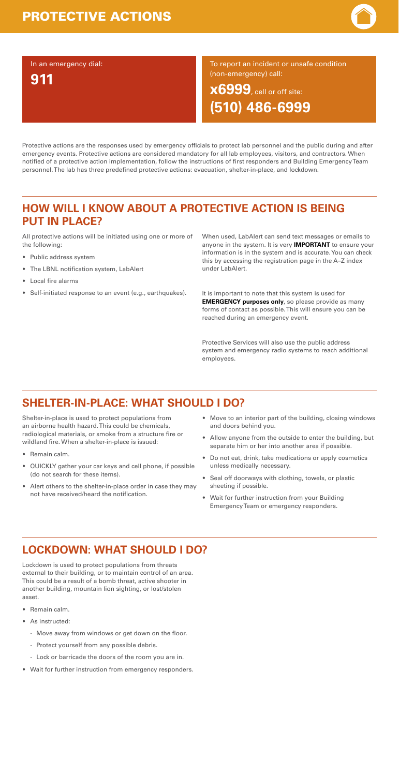Protective actions are the responses used by emergency officials to protect lab personnel and the public during and after emergency events. Protective actions are considered mandatory for all lab employees, visitors, and contractors. When notified of a protective action implementation, follow the instructions of first responders and Building Emergency Team personnel. The lab has three predefined protective actions: evacuation, shelter-in-place, and lockdown.

### **HOW WILL I KNOW ABOUT A PROTECTIVE ACTION IS BEING PUT IN PLACE?**

All protective actions will be initiated using one or more of the following:

- Public address system
- The LBNL notification system, LabAlert
- Local fire alarms
- Self-initiated response to an event (e.g., earthquakes).

When used, LabAlert can send text messages or emails to anyone in the system. It is very **IMPORTANT** to ensure your information is in the system and is accurate. You can check this by accessing the registration page in the A–Z index under LabAlert.

It is important to note that this system is used for **EMERGENCY purposes only**, so please provide as many forms of contact as possible. This will ensure you can be reached during an emergency event.

Protective Services will also use the public address system and emergency radio systems to reach additional employees.

### **SHELTER-IN-PLACE: WHAT SHOULD I DO?**

Shelter-in-place is used to protect populations from an airborne health hazard. This could be chemicals, radiological materials, or smoke from a structure fire or wildland fire. When a shelter-in-place is issued:

- Remain calm.
- QUICKLY gather your car keys and cell phone, if possible (do not search for these items).
- Alert others to the shelter-in-place order in case they may not have received/heard the notification.
- Move to an interior part of the building, closing windows and doors behind you.
- Allow anyone from the outside to enter the building, but separate him or her into another area if possible.
- Do not eat, drink, take medications or apply cosmetics unless medically necessary.
- Seal off doorways with clothing, towels, or plastic sheeting if possible.
- Wait for further instruction from your Building Emergency Team or emergency responders.

### **LOCKDOWN: WHAT SHOULD I DO?**

Lockdown is used to protect populations from threats external to their building, or to maintain control of an area. This could be a result of a bomb threat, active shooter in another building, mountain lion sighting, or lost/stolen asset.

- Remain calm.
- As instructed:
	- Move away from windows or get down on the floor.
	- Protect yourself from any possible debris.
	- Lock or barricade the doors of the room you are in.
- Wait for further instruction from emergency responders.

### In an emergency dial: **911**

To report an incident or unsafe condition (non-emergency) call:

**x6999**, cell or off site: **(510) 486-6999**

# PROTECTIVE ACTIONS

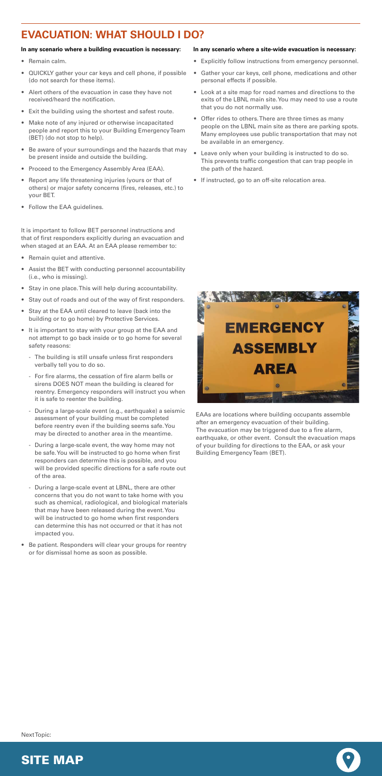# **EVACUATION: WHAT SHOULD I DO?**

#### **In any scenario where a building evacuation is necessary:**

- Remain calm.
- QUICKLY gather your car keys and cell phone, if possible (do not search for these items).
- • Alert others of the evacuation in case they have not received/heard the notification.
- Exit the building using the shortest and safest route.
- Make note of any injured or otherwise incapacitated people and report this to your Building Emergency Team (BET) (do not stop to help).
- Be aware of your surroundings and the hazards that may be present inside and outside the building.
- Proceed to the Emergency Assembly Area (EAA).
- • Report any life threatening injuries (yours or that of others) or major safety concerns (fires, releases, etc.) to your BET.
- Follow the EAA guidelines.

It is important to follow BET personnel instructions and that of first responders explicitly during an evacuation and when staged at an EAA. At an EAA please remember to:

- Remain quiet and attentive.
- Assist the BET with conducting personnel accountability (i.e., who is missing).
- Stay in one place. This will help during accountability.
- Stay out of roads and out of the way of first responders.
- • Stay at the EAA until cleared to leave (back into the building or to go home) by Protective Services.
- It is important to stay with your group at the EAA and not attempt to go back inside or to go home for several safety reasons:
	- The building is still unsafe unless first responders verbally tell you to do so.
	- For fire alarms, the cessation of fire alarm bells or sirens DOES NOT mean the building is cleared for reentry. Emergency responders will instruct you when it is safe to reenter the building.
	- - During a large-scale event (e.g., earthquake) a seismic assessment of your building must be completed before reentry even if the building seems safe. You may be directed to another area in the meantime.
	- During a large-scale event, the way home may not be safe. You will be instructed to go home when first responders can determine this is possible, and you will be provided specific directions for a safe route out of the area.
	- During a large-scale event at LBNL, there are other concerns that you do not want to take home with you such as chemical, radiological, and biological materials that may have been released during the event. You will be instructed to go home when first responders can determine this has not occurred or that it has not

- impacted you.
- • Be patient. Responders will clear your groups for reentry or for dismissal home as soon as possible.

#### **In any scenario where a site-wide evacuation is necessary:**

- Explicitly follow instructions from emergency personnel.
- Gather your car keys, cell phone, medications and other personal effects if possible.
- Look at a site map for road names and directions to the exits of the LBNL main site. You may need to use a route that you do not normally use.
- • Offer rides to others. There are three times as many people on the LBNL main site as there are parking spots. Many employees use public transportation that may not be available in an emergency.
- • Leave only when your building is instructed to do so. This prevents traffic congestion that can trap people in the path of the hazard.
- If instructed, go to an off-site relocation area.







Next Topic:

EAAs are locations where building occupants assemble after an emergency evacuation of their building. The evacuation may be triggered due to a fire alarm, earthquake, or other event. Consult the evacuation maps of your building for directions to the EAA, or ask your Building Emergency Team (BET).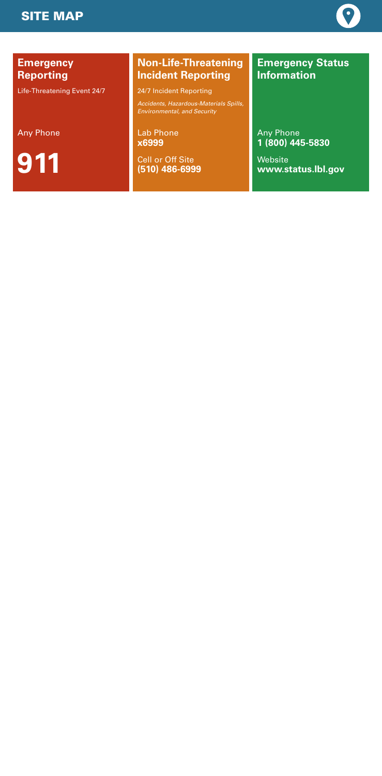### **Emergency Reporting**

Life-Threatening Event 24/7

**Emergency Status Information**

Any Phone

**911**

Lab Phone **x6999**

Cell or Off Site **(510) 486-6999** Any Phone **1 (800) 445-5830**

Website **www.status.lbl.gov**

### **Non-Life-Threatening Incident Reporting**

24/7 Incident Reporting

*Accidents, Hazardous-Materials Spills, Environmental, and Security*

### SITE MAP